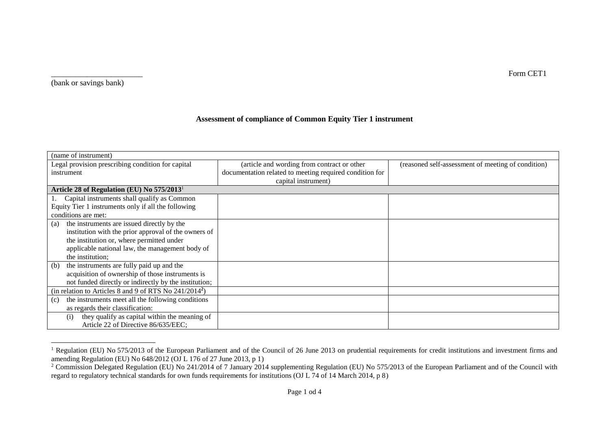(bank or savings bank)

## **Assessment of compliance of Common Equity Tier 1 instrument**

| (name of instrument)                                               |                                                         |                                                    |  |  |  |
|--------------------------------------------------------------------|---------------------------------------------------------|----------------------------------------------------|--|--|--|
| Legal provision prescribing condition for capital                  | (article and wording from contract or other             | (reasoned self-assessment of meeting of condition) |  |  |  |
| instrument                                                         | documentation related to meeting required condition for |                                                    |  |  |  |
|                                                                    | capital instrument)                                     |                                                    |  |  |  |
| Article 28 of Regulation (EU) No 575/2013 <sup>1</sup>             |                                                         |                                                    |  |  |  |
| Capital instruments shall qualify as Common                        |                                                         |                                                    |  |  |  |
| Equity Tier 1 instruments only if all the following                |                                                         |                                                    |  |  |  |
| conditions are met:                                                |                                                         |                                                    |  |  |  |
| the instruments are issued directly by the<br>(a)                  |                                                         |                                                    |  |  |  |
| institution with the prior approval of the owners of               |                                                         |                                                    |  |  |  |
| the institution or, where permitted under                          |                                                         |                                                    |  |  |  |
| applicable national law, the management body of                    |                                                         |                                                    |  |  |  |
| the institution;                                                   |                                                         |                                                    |  |  |  |
| the instruments are fully paid up and the<br>(b)                   |                                                         |                                                    |  |  |  |
| acquisition of ownership of those instruments is                   |                                                         |                                                    |  |  |  |
| not funded directly or indirectly by the institution;              |                                                         |                                                    |  |  |  |
| (in relation to Articles 8 and 9 of RTS No 241/2014 <sup>2</sup> ) |                                                         |                                                    |  |  |  |
| the instruments meet all the following conditions<br>(c)           |                                                         |                                                    |  |  |  |
| as regards their classification:                                   |                                                         |                                                    |  |  |  |
| they qualify as capital within the meaning of<br>(i)               |                                                         |                                                    |  |  |  |
| Article 22 of Directive 86/635/EEC;                                |                                                         |                                                    |  |  |  |

 <sup>1</sup> Regulation (EU) No 575/2013 of the European Parliament and of the Council of 26 June 2013 on prudential requirements for credit institutions and investment firms and amending Regulation (EU) No 648/2012 (OJ L 176 of 27 June 2013, p 1)

\_\_\_\_\_\_\_\_\_\_\_\_\_\_\_\_\_\_\_\_\_\_\_ Form CET1

<sup>&</sup>lt;sup>2</sup> Commission Delegated Regulation (EU) No 241/2014 of 7 January 2014 supplementing Regulation (EU) No 575/2013 of the European Parliament and of the Council with regard to regulatory technical standards for own funds requirements for institutions (OJ L 74 of 14 March 2014, p 8)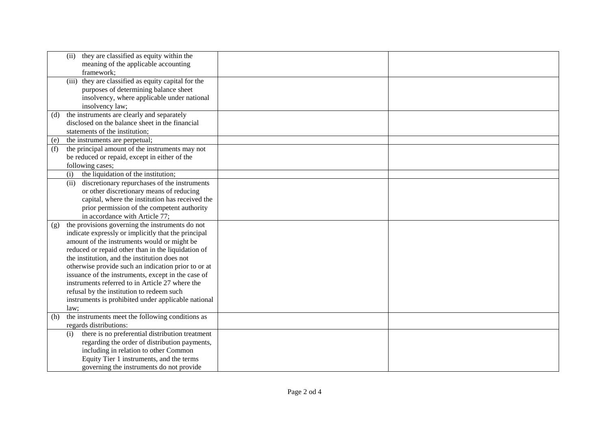|     | they are classified as equity within the<br>(ii)<br>meaning of the applicable accounting<br>framework;                                                         |  |
|-----|----------------------------------------------------------------------------------------------------------------------------------------------------------------|--|
|     | (iii) they are classified as equity capital for the<br>purposes of determining balance sheet<br>insolvency, where applicable under national<br>insolvency law; |  |
| (d) | the instruments are clearly and separately                                                                                                                     |  |
|     | disclosed on the balance sheet in the financial<br>statements of the institution;                                                                              |  |
| (e) | the instruments are perpetual;                                                                                                                                 |  |
| (f) | the principal amount of the instruments may not                                                                                                                |  |
|     | be reduced or repaid, except in either of the                                                                                                                  |  |
|     | following cases;                                                                                                                                               |  |
|     | the liquidation of the institution;<br>(i)                                                                                                                     |  |
|     | discretionary repurchases of the instruments<br>(ii)                                                                                                           |  |
|     | or other discretionary means of reducing                                                                                                                       |  |
|     | capital, where the institution has received the                                                                                                                |  |
|     | prior permission of the competent authority                                                                                                                    |  |
|     | in accordance with Article 77;                                                                                                                                 |  |
| (g) | the provisions governing the instruments do not                                                                                                                |  |
|     | indicate expressly or implicitly that the principal<br>amount of the instruments would or might be                                                             |  |
|     | reduced or repaid other than in the liquidation of                                                                                                             |  |
|     | the institution, and the institution does not                                                                                                                  |  |
|     | otherwise provide such an indication prior to or at                                                                                                            |  |
|     | issuance of the instruments, except in the case of                                                                                                             |  |
|     | instruments referred to in Article 27 where the                                                                                                                |  |
|     | refusal by the institution to redeem such                                                                                                                      |  |
|     | instruments is prohibited under applicable national                                                                                                            |  |
|     | law;                                                                                                                                                           |  |
| (h) | the instruments meet the following conditions as                                                                                                               |  |
|     | regards distributions:                                                                                                                                         |  |
|     | there is no preferential distribution treatment<br>(i)                                                                                                         |  |
|     | regarding the order of distribution payments,                                                                                                                  |  |
|     | including in relation to other Common                                                                                                                          |  |
|     | Equity Tier 1 instruments, and the terms                                                                                                                       |  |
|     | governing the instruments do not provide                                                                                                                       |  |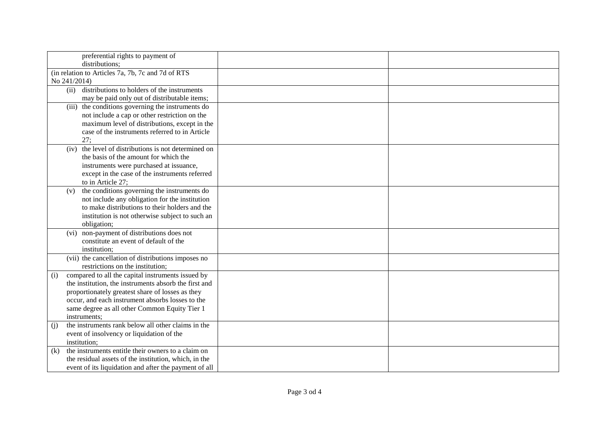| preferential rights to payment of                         |  |
|-----------------------------------------------------------|--|
| distributions;                                            |  |
| (in relation to Articles 7a, 7b, 7c and 7d of RTS         |  |
| No 241/2014)                                              |  |
| distributions to holders of the instruments<br>(ii)       |  |
|                                                           |  |
| may be paid only out of distributable items;              |  |
| (iii) the conditions governing the instruments do         |  |
| not include a cap or other restriction on the             |  |
| maximum level of distributions, except in the             |  |
| case of the instruments referred to in Article            |  |
| 27:                                                       |  |
| the level of distributions is not determined on<br>(iv)   |  |
| the basis of the amount for which the                     |  |
| instruments were purchased at issuance,                   |  |
| except in the case of the instruments referred            |  |
| to in Article 27;                                         |  |
| the conditions governing the instruments do<br>(v)        |  |
| not include any obligation for the institution            |  |
| to make distributions to their holders and the            |  |
| institution is not otherwise subject to such an           |  |
| obligation;                                               |  |
| (vi) non-payment of distributions does not                |  |
| constitute an event of default of the                     |  |
| institution;                                              |  |
| (vii) the cancellation of distributions imposes no        |  |
| restrictions on the institution;                          |  |
| compared to all the capital instruments issued by<br>(i)  |  |
| the institution, the instruments absorb the first and     |  |
| proportionately greatest share of losses as they          |  |
| occur, and each instrument absorbs losses to the          |  |
| same degree as all other Common Equity Tier 1             |  |
| instruments;                                              |  |
| the instruments rank below all other claims in the<br>(i) |  |
| event of insolvency or liquidation of the                 |  |
| institution;                                              |  |
| the instruments entitle their owners to a claim on<br>(k) |  |
| the residual assets of the institution, which, in the     |  |
| event of its liquidation and after the payment of all     |  |